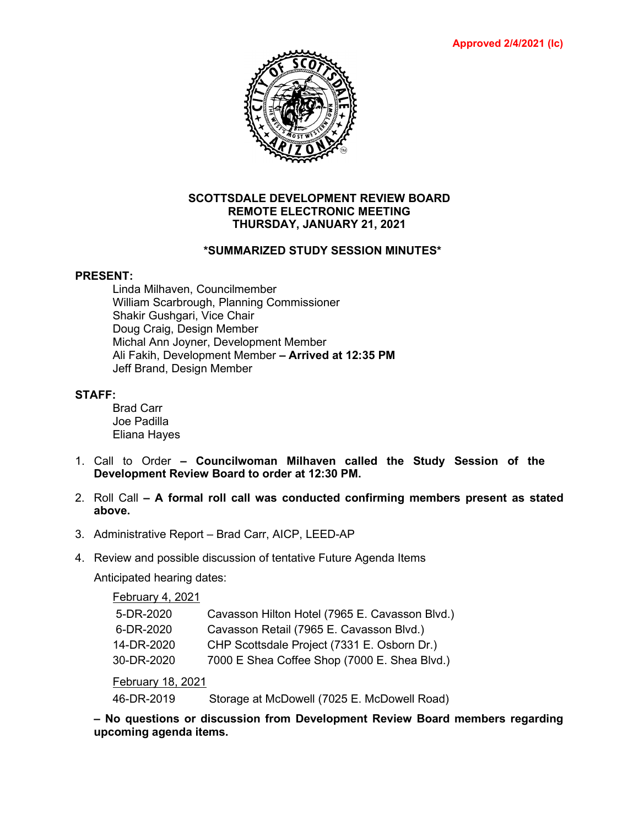

### **SCOTTSDALE DEVELOPMENT REVIEW BOARD REMOTE ELECTRONIC MEETING THURSDAY, JANUARY 21, 2021**

## **\*SUMMARIZED STUDY SESSION MINUTES\***

#### **PRESENT:**

Linda Milhaven, Councilmember William Scarbrough, Planning Commissioner Shakir Gushgari, Vice Chair Doug Craig, Design Member Michal Ann Joyner, Development Member Ali Fakih, Development Member **– Arrived at 12:35 PM** Jeff Brand, Design Member

## **STAFF:**

Brad Carr Joe Padilla Eliana Hayes

- 1. Call to Order **– Councilwoman Milhaven called the Study Session of the Development Review Board to order at 12:30 PM.**
- 2. Roll Call **– A formal roll call was conducted confirming members present as stated above.**
- 3. Administrative Report Brad Carr, AICP, LEED-AP
- 4. Review and possible discussion of tentative Future Agenda Items

Anticipated hearing dates:

February 4, 2021

| 5-DR-2020  | Cavasson Hilton Hotel (7965 E. Cavasson Blvd.) |
|------------|------------------------------------------------|
| 6-DR-2020  | Cavasson Retail (7965 E. Cavasson Blvd.)       |
| 14-DR-2020 | CHP Scottsdale Project (7331 E. Osborn Dr.)    |
| 30-DR-2020 | 7000 E Shea Coffee Shop (7000 E. Shea Blvd.)   |
|            |                                                |

February 18, 2021

46-DR-2019 Storage at McDowell (7025 E. McDowell Road)

**– No questions or discussion from Development Review Board members regarding upcoming agenda items.**